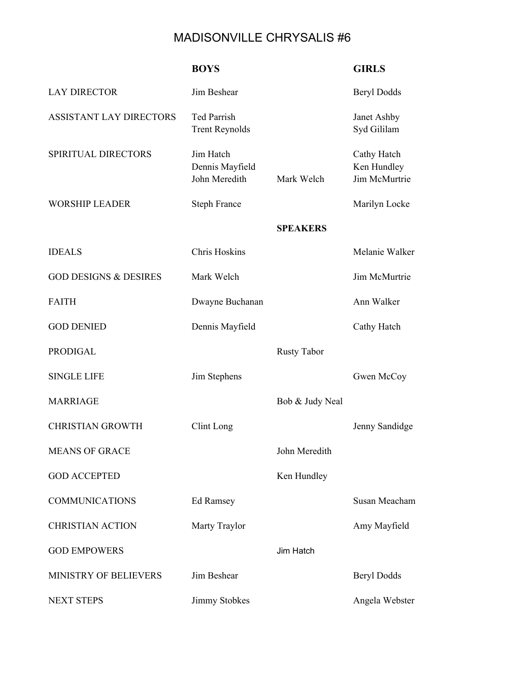## MADISONVILLE CHRYSALIS #6

|                                  | <b>BOYS</b>                                   |                    | <b>GIRLS</b>                                |
|----------------------------------|-----------------------------------------------|--------------------|---------------------------------------------|
| <b>LAY DIRECTOR</b>              | Jim Beshear                                   |                    | <b>Beryl Dodds</b>                          |
| ASSISTANT LAY DIRECTORS          | Ted Parrish<br><b>Trent Reynolds</b>          |                    | Janet Ashby<br>Syd Gililam                  |
| SPIRITUAL DIRECTORS              | Jim Hatch<br>Dennis Mayfield<br>John Meredith | Mark Welch         | Cathy Hatch<br>Ken Hundley<br>Jim McMurtrie |
| <b>WORSHIP LEADER</b>            | <b>Steph France</b>                           |                    | Marilyn Locke                               |
|                                  |                                               | <b>SPEAKERS</b>    |                                             |
| <b>IDEALS</b>                    | <b>Chris Hoskins</b>                          |                    | Melanie Walker                              |
| <b>GOD DESIGNS &amp; DESIRES</b> | Mark Welch                                    |                    | Jim McMurtrie                               |
| <b>FAITH</b>                     | Dwayne Buchanan                               |                    | Ann Walker                                  |
| <b>GOD DENIED</b>                | Dennis Mayfield                               |                    | Cathy Hatch                                 |
| <b>PRODIGAL</b>                  |                                               | <b>Rusty Tabor</b> |                                             |
| <b>SINGLE LIFE</b>               | Jim Stephens                                  |                    | Gwen McCoy                                  |
| <b>MARRIAGE</b>                  |                                               | Bob & Judy Neal    |                                             |
| <b>CHRISTIAN GROWTH</b>          | Clint Long                                    |                    | Jenny Sandidge                              |
| <b>MEANS OF GRACE</b>            |                                               | John Meredith      |                                             |
| <b>GOD ACCEPTED</b>              |                                               | Ken Hundley        |                                             |
| <b>COMMUNICATIONS</b>            | <b>Ed Ramsey</b>                              |                    | Susan Meacham                               |
| <b>CHRISTIAN ACTION</b>          | Marty Traylor                                 |                    | Amy Mayfield                                |
| <b>GOD EMPOWERS</b>              |                                               | Jim Hatch          |                                             |
| MINISTRY OF BELIEVERS            | Jim Beshear                                   |                    | <b>Beryl Dodds</b>                          |
| <b>NEXT STEPS</b>                | Jimmy Stobkes                                 |                    | Angela Webster                              |